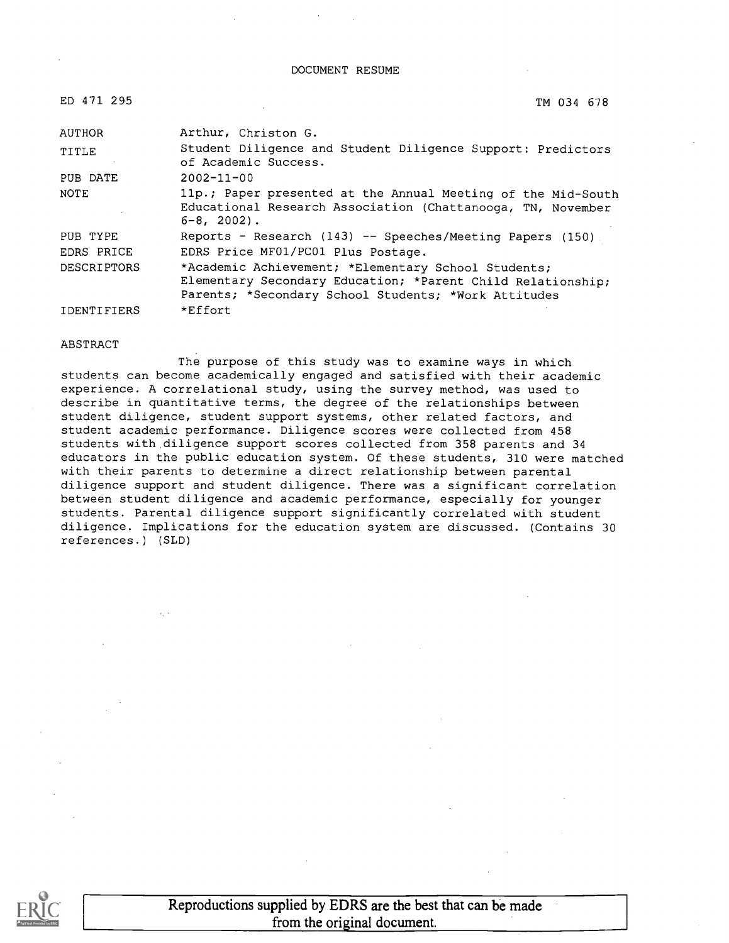#### DOCUMENT RESUME

| ED 471 295         | TM 034 678                                                                                                                                                                 |
|--------------------|----------------------------------------------------------------------------------------------------------------------------------------------------------------------------|
| <b>AUTHOR</b>      | Arthur, Christon G.                                                                                                                                                        |
| TITLE              | Student Diligence and Student Diligence Support: Predictors<br>of Academic Success.                                                                                        |
| PUB DATE           | $2002 - 11 - 00$                                                                                                                                                           |
| NOTE               | 11p.; Paper presented at the Annual Meeting of the Mid-South<br>Educational Research Association (Chattanooga, TN, November<br>$6 - 8$ , 2002).                            |
| PUB TYPE           | Reports - Research $(143)$ -- Speeches/Meeting Papers $(150)$                                                                                                              |
| EDRS PRICE         | EDRS Price MF01/PC01 Plus Postage.                                                                                                                                         |
| <b>DESCRIPTORS</b> | *Academic Achievement; *Elementary School Students;<br>Elementary Secondary Education; *Parent Child Relationship;<br>Parents; *Secondary School Students; *Work Attitudes |
| IDENTIFIERS        | *Effort                                                                                                                                                                    |

#### ABSTRACT

The purpose of this study was to examine ways in which students can become academically engaged and satisfied with their academic experience. A correlational study, using the survey method, was used to describe in quantitative terms, the degree of the relationships between student diligence, student support systems, other related factors, and student academic performance. Diligence scores were collected from 458 students with diligence support scores collected from 358 parents and 34 educators in the public education system. Of these students, 310 were matched with their parents to determine a direct relationship between parental diligence support and student diligence. There was a significant correlation between student diligence and academic performance, especially for younger students. Parental diligence support significantly correlated with student diligence. Implications for the education system are discussed. (Contains 30 references.) (SLD)

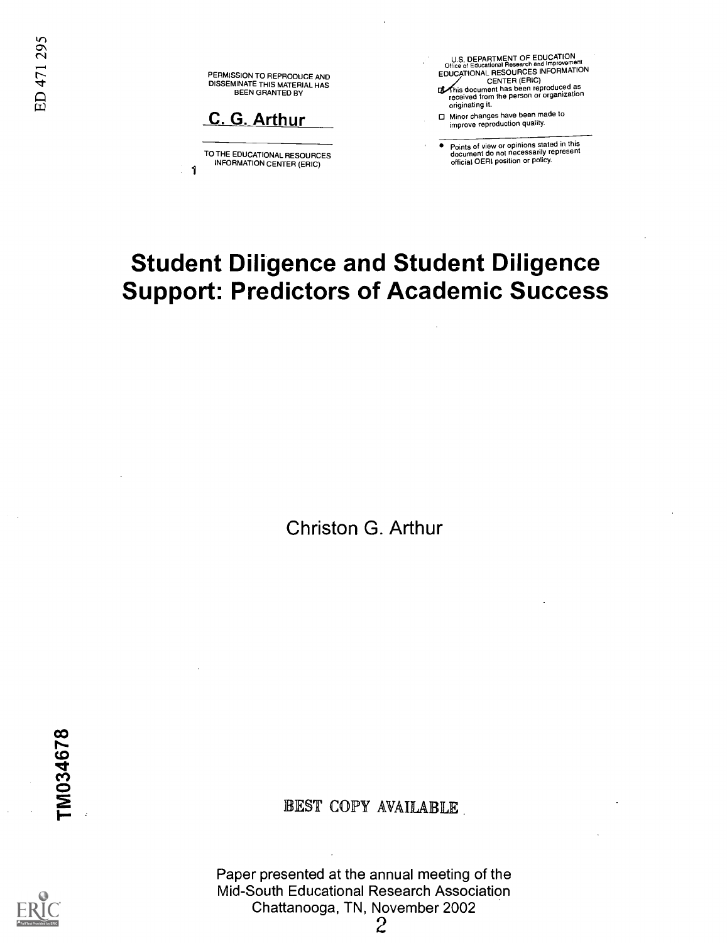PERMISSION TO REPRODUCE AND **T**<br>DISSEMINATE THIS MATERIAL HAS<br>
BEEN GRANTED BY

C. G. Arthur

1

TO THE EDUCATIONAL RESOURCES INFORMATION CENTER (ERIC)

U.S. DEPARTMENT OF EDUCATION Office of Educational Research and Improvement EDUCATIONAL RESOURCES INFORMATION

- CENTER (ERIC) his document has been reproduced as received from the person or organization originating it.
- Minor changes have been made to improve reproduction quality.

Points of view or opinions stated in this document do not necessarily represent official OERI position or policy.

# Student Diligence and Student Diligence Support: Predictors of Academic Success

Christon G. Arthur

TM034678

EST COPY AVAILABLE

Paper presented at the annual meeting of the Mid-South Educational Research Association Chattanooga, TN, November 2002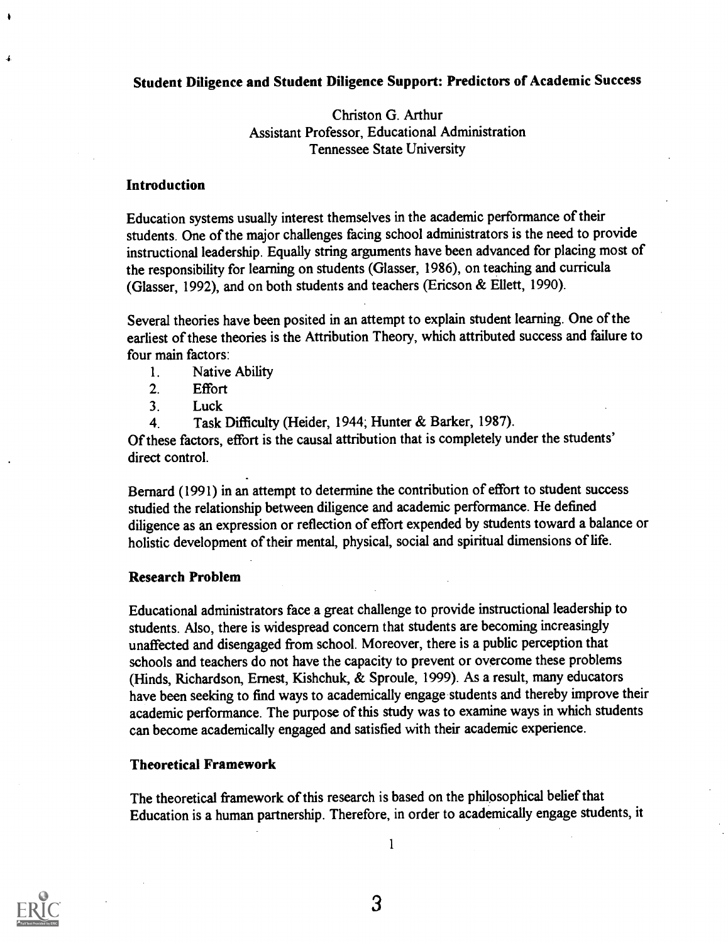#### Student Diligence and Student Diligence Support: Predictors of Academic Success

Christon G. Arthur Assistant Professor, Educational Administration Tennessee State University

#### **Introduction**

e

 $\mathcal{A}$ 

Education systems usually interest themselves in the academic performance of their students. One of the major challenges facing school administrators is the need to provide instructional leadership. Equally string arguments have been advanced for placing most of the responsibility for learning on students (Glasser, 1986), on teaching and curricula (Glasser, 1992), and on both students and teachers (Ericson & Ellett, 1990).

Several theories have been posited in an attempt to explain student learning. One of the earliest of these theories is the Attribution Theory, which attributed success and failure to four main factors:

- 1. Native Ability
- 2. Effort
- 3. Luck
- 4. Task Difficulty (Heider, 1944; Hunter & Barker, 1987).

Of these factors, effort is the causal attribution that is completely under the students' direct control.

Bernard (1991) in an attempt to determine the contribution of effort to student success studied the relationship between diligence and academic performance. He defined diligence as an expression or reflection of effort expended by students toward a balance or holistic development of their mental, physical, social and spiritual dimensions of life.

#### Research Problem

Educational administrators face a great challenge to provide instructional leadership to students. Also, there is widespread concern that students are becoming increasingly unaffected and disengaged from school. Moreover, there is a public perception that schools and teachers do not have the capacity to prevent or overcome these problems (Hinds, Richardson, Ernest, Kishchuk, & Sproule, 1999). As a result, many educators have been seeking to find ways to academically engage students and thereby improve their academic performance. The purpose of this study was to examine ways in which students can become academically engaged and satisfied with their academic experience.

#### Theoretical Framework

The theoretical framework of this research is based on the philosophical belief that Education is a human partnership. Therefore, in order to academically engage students, it

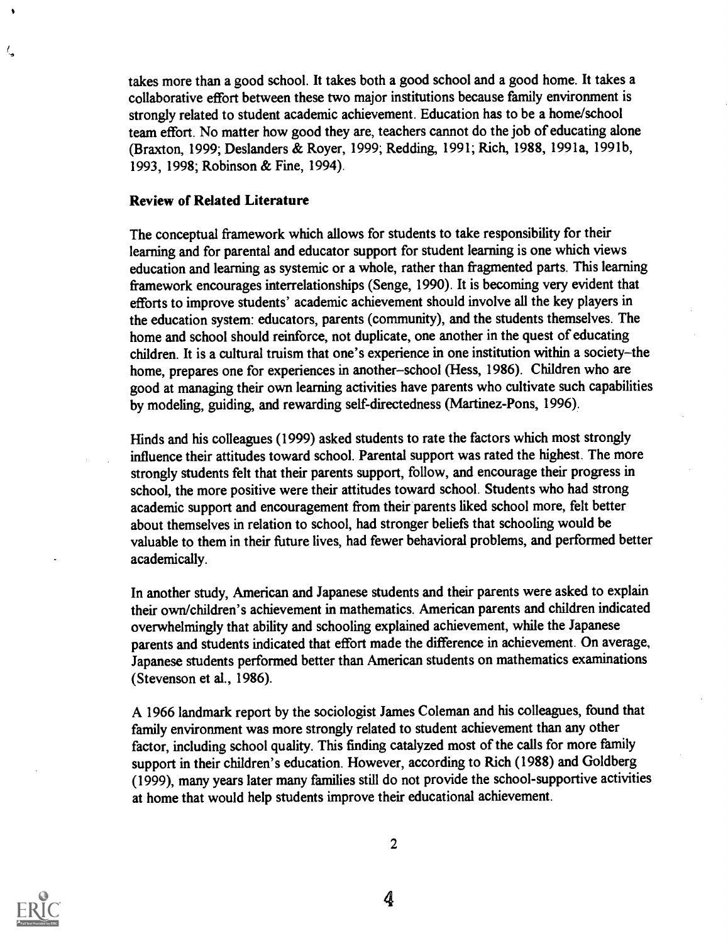takes more than a good school. It takes both a good school and a good home. It takes a collaborative effort between these two major institutions because family environment is strongly related to student academic achievement. Education has to be a home/school team effort. No matter how good they are, teachers cannot do the job of educating alone (Braxton, 1999; Deslanders & Royer, 1999; Redding, 1991; Rich, 1988, 1991a, 1991b, 1993, 1998; Robinson & Fine, 1994).

#### Review of Related Literature

The conceptual framework which allows for students to take responsibility for their learning and for parental and educator support for student learning is one which views education and learning as systemic or a whole, rather than fragmented parts. This learning framework encourages interrelationships (Senge, 1990). It is becoming very evident that efforts to improve students' academic achievement should involve all the key players in the education system: educators, parents (community), and the students themselves. The home and school should reinforce, not duplicate, one another in the quest of educating children. It is a cultural truism that one's experience in one institution within a society-the home, prepares one for experiences in another-school (Hess, 1986). Children who are good at managing their own learning activities have parents who cultivate such capabilities by modeling, guiding, and rewarding self-directedness (Martinez-Pons, 1996).

Hinds and his colleagues (1999) asked students to rate the factors which most strongly influence their attitudes toward school. Parental support was rated the highest. The more strongly students felt that their parents support, follow, and encourage their progress in school, the more positive were their attitudes toward school. Students who had strong academic support and encouragement from their parents liked school more, felt better about themselves in relation to school, had stronger beliefs that schooling would be valuable to them in their future lives, had fewer behavioral problems, and performed better academically.

In another study, American and Japanese students and their parents were asked to explain their own/children's achievement in mathematics. American parents and children indicated overwhelmingly that ability and schooling explained achievement, while the Japanese parents and students indicated that effort made the difference in achievement. On average, Japanese students performed better than American students on mathematics examinations (Stevenson et al., 1986).

A 1966 landmark report by the sociologist James Coleman and his colleagues, found that family environment was more strongly related to student achievement than any other factor, including school quality. This finding catalyzed most of the calls for more family support in their children's education. However, according to Rich (1988) and Goldberg (1999), many years later many families still do not provide the school-supportive activities at home that would help students improve their educational achievement.



ζ,

2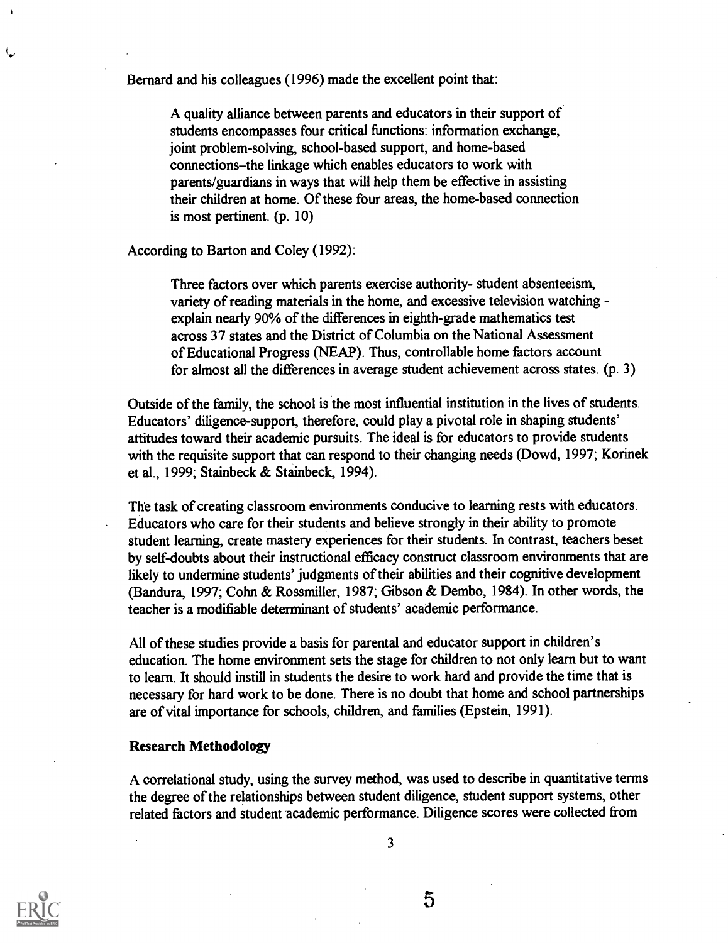Bernard and his colleagues (1996) made the excellent point that:

A quality alliance between parents and educators in their support of students encompasses four critical functions: information exchange, joint problem-solving, school-based support, and home-based connections-the linkage which enables educators to work with parents/guardians in ways that will help them be effective in assisting their children at home. Of these four areas, the home-based connection is most pertinent. (p. 10)

According to Barton and Coley (1992):

Three factors over which parents exercise authority- student absenteeism, variety of reading materials in the home, and excessive television watching explain nearly 90% of the differences in eighth-grade mathematics test across 37 states and the District of Columbia on the National Assessment of Educational Progress (NEAP). Thus, controllable home factors account for almost all the differences in average student achievement across states. (p. 3)

Outside of the family, the school is the most influential institution in the lives of students. Educators' diligence-support, therefore, could play a pivotal role in shaping students' attitudes toward their academic pursuits. The ideal is for educators to provide students with the requisite support that can respond to their changing needs (Dowd, 1997; Korinek et al., 1999; Stainbeck & Stainbeck, 1994).

The task of creating classroom environments conducive to learning rests with educators. Educators who care for their students and believe strongly in their ability to promote student learning, create mastery experiences for their students. In contrast, teachers beset by self-doubts about their instructional efficacy construct classroom environments that are likely to undermine students' judgments of their abilities and their cognitive development (Bandura, 1997; Cohn & Rossmiller, 1987; Gibson & Dembo, 1984). In other words, the teacher is a modifiable determinant of students' academic performance.

All of these studies provide a basis for parental and educator support in children's education. The home environment sets the stage for children to not only learn but to want to learn. It should instill in students the desire to work hard and provide the time that is necessary for hard work to be done. There is no doubt that home and school partnerships are of vital importance for schools, children, and families (Epstein, 1991).

#### Research Methodology

A correlational study, using the survey method, was used to describe in quantitative terms the degree of the relationships between student diligence, student support systems, other related factors and student academic performance. Diligence scores were collected from



ىپە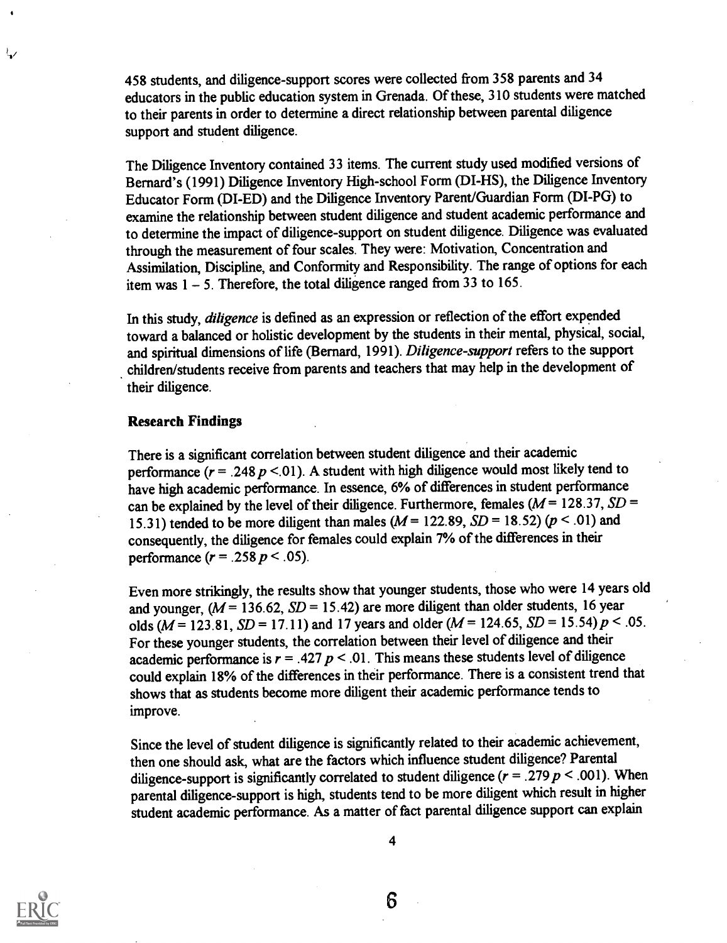458 students, and diligence-support scores were collected from 358 parents and 34 educators in the public education system in Grenada. Of these, 310 students were matched to their parents in order to determine a direct relationship between parental diligence support and student diligence.

The Diligence Inventory contained 33 items. The current study used modified versions of Bernard's (1991) Diligence Inventory High-school Form (DI-HS), the Diligence Inventory Educator Form (DI-ED) and the Diligence Inventory Parent/Guardian Form (DI-PG) to examine the relationship between student diligence and student academic performance and to determine the impact of diligence-support on student diligence. Diligence was evaluated through the measurement of four scales. They were: Motivation, Concentration and Assimilation, Discipline, and Conformity and Responsibility. The range of options for each item was  $1 - 5$ . Therefore, the total diligence ranged from 33 to 165.

In this study, *diligence* is defined as an expression or reflection of the effort expended toward a balanced or holistic development by the students in their mental, physical, social, and spiritual dimensions of life (Bernard, 1991). Diligence-support refers to the support children/students receive from parents and teachers that may help in the development of their diligence.

#### Research Findings

There is a significant correlation between student diligence and their academic performance ( $r = .248 p < .01$ ). A student with high diligence would most likely tend to have high academic performance. In essence, 6% of differences in student performance can be explained by the level of their diligence. Furthermore, females ( $M = 128.37$ ,  $SD =$ 15.31) tended to be more diligent than males ( $M = 122.89$ ,  $SD = 18.52$ ) ( $p < .01$ ) and consequently, the diligence for females could explain 7% of the differences in their performance  $(r = .258 \ p < .05)$ .

Even more strikingly, the results show that younger students, those who were 14 years old and younger,  $(M = 136.62, SD = 15.42)$  are more diligent than older students, 16 year olds ( $M = 123.81$ ,  $SD = 17.11$ ) and 17 years and older ( $M = 124.65$ ,  $SD = 15.54$ )  $p < .05$ . For these younger students, the correlation between their level of diligence and their academic performance is  $r = .427 p < .01$ . This means these students level of diligence could explain 18% of the differences in their performance. There is a consistent trend that shows that as students become more diligent their academic performance tends to improve.

Since the level of student diligence is significantly related to their academic achievement, then one should ask, what are the factors which influence student diligence? Parental diligence-support is significantly correlated to student diligence ( $r = .279$   $p < .001$ ). When parental diligence-support is high, students tend to be more diligent which result in higher student academic performance. As a matter of fact parental diligence support can explain



少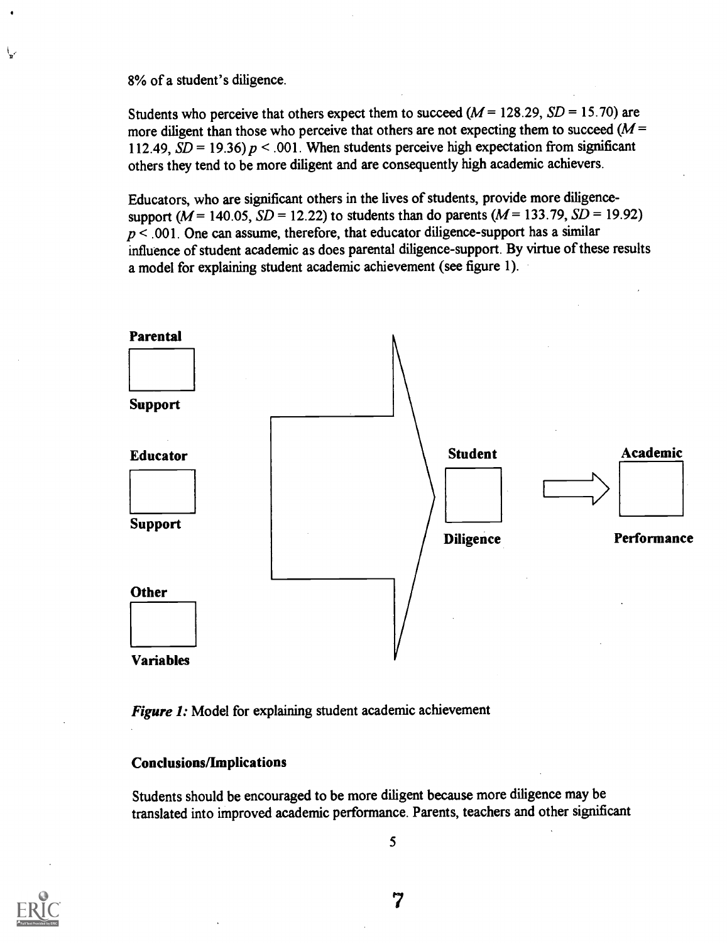8% of a student's diligence.

Students who perceive that others expect them to succeed  $(M = 128.29, SD = 15.70)$  are more diligent than those who perceive that others are not expecting them to succeed  $(M =$ 112.49,  $SD = 19.36$ )  $p < .001$ . When students perceive high expectation from significant others they tend to be more diligent and are consequently high academic achievers.

Educators, who are significant others in the lives of students, provide more diligencesupport ( $M = 140.05$ ,  $SD = 12.22$ ) to students than do parents ( $M = 133.79$ ,  $SD = 19.92$ )  $p < .001$ . One can assume, therefore, that educator diligence-support has a similar influence of student academic as does parental diligence-support. By virtue of these results a model for explaining student academic achievement (see figure 1).



Figure 1: Model for explaining student academic achievement

#### Conclusions/Implications

Students should be encouraged to be more diligent because more diligence may be translated into improved academic performance. Parents, teachers and other significant

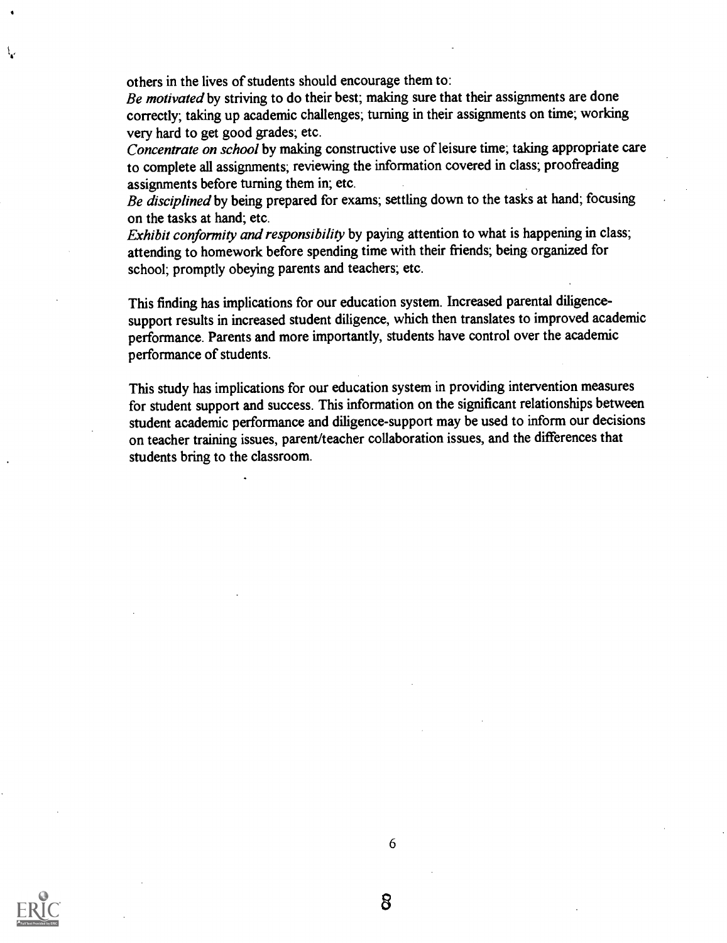others in the lives of students should encourage them to:

Be motivated by striving to do their best; making sure that their assignments are done correctly; taking up academic challenges; turning in their assignments on time; working very hard to get good grades; etc.

Concentrate on school by making constructive use of leisure time; taking appropriate care to complete all assignments; reviewing the information covered in class; proofreading assignments before turning them in; etc.

Be disciplined by being prepared for exams; settling down to the tasks at hand; focusing on the tasks at hand; etc.

Exhibit conformity and responsibility by paying attention to what is happening in class; attending to homework before spending time with their friends; being organized for school; promptly obeying parents and teachers; etc.

This finding has implications for our education system. Increased parental diligencesupport results in increased student diligence, which then translates to improved academic performance. Parents and more importantly, students have control over the academic performance of students.

This study has implications for our education system in providing intervention measures for student support and success. This information on the significant relationships between student academic performance and diligence-support may be used to inform our decisions on teacher training issues, parent/teacher collaboration issues, and the differences that students bring to the classroom.

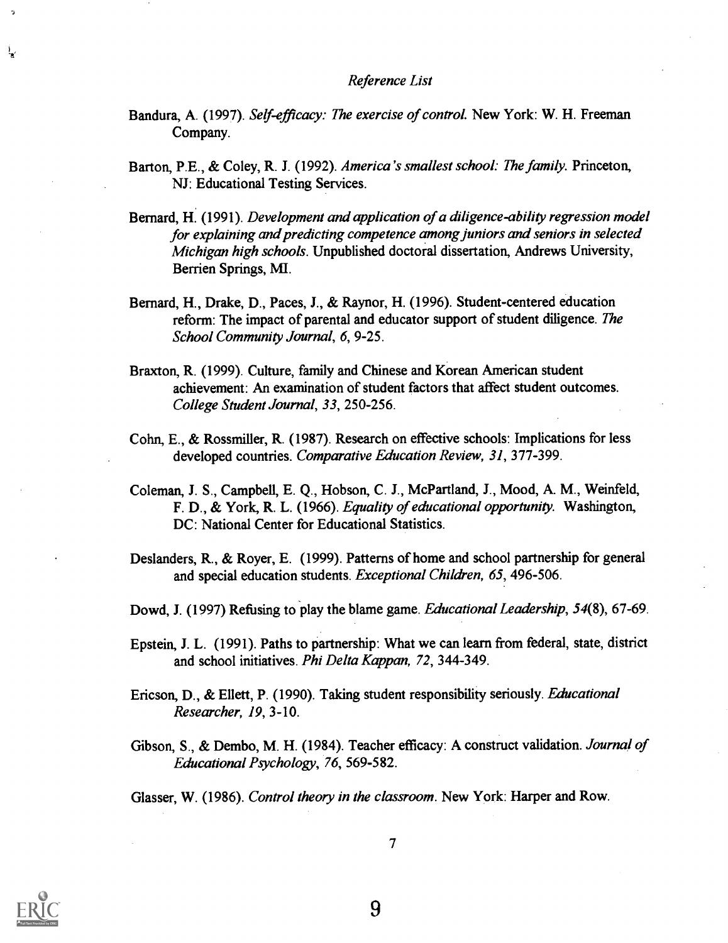#### Reference List

- Bandura, A. (1997). Self-efficacy: The exercise of control. New York: W. H. Freeman Company.
- Barton, P.E., & Coley, R. J. (1992). America's smallest school: The family. Princeton, NJ: Educational Testing Services.
- Bernard, H. (1991). Development and application of a diligence-ability regression model for explaining and predicting competence among juniors and seniors in selected Michigan high schools. Unpublished doctoral dissertation, Andrews University, Berrien Springs, MI.
- Bernard, H., Drake, D., Paces, J., & Raynor, H. (1996). Student-centered education reform: The impact of parental and educator support of student diligence. The School Community Journal, 6, 9-25.
- Braxton, R. (1999). Culture, family and Chinese and Korean American student achievement: An examination of student factors that affect student outcomes. College Student Journal, 33, 250-256.
- Cohn, E., & Rossmiller, R. (1987). Research on effective schools: Implications for less developed countries. Comparative Education Review, 31, 377-399.
- Coleman, J. S., Campbell, E. Q., Hobson, C. J., McPartland, J., Mood, A. M., Weinfeld, F. D., & York, R. L. (1966). Equality of educational opportunity. Washington, DC: National Center for Educational Statistics.
- Deslanders, R., & Royer, E. (1999). Patterns of home and school partnership for general and special education students. Exceptional Children, 65, 496-506.
- Dowd, J. (1997) Refusing to play the blame game. *Educational Leadership*, 54(8), 67-69.
- Epstein, J. L. (1991). Paths to partnership: What we can learn from federal, state, district and school initiatives. Phi Delta Kappan, 72, 344-349.
- Ericson, D., & Ellett, P. (1990). Taking student responsibility seriously. *Educational* Researcher, 19, 3-10.
- Gibson, S., & Dembo, M. H. (1984). Teacher efficacy: A construct validation. Journal of Educational Psychology, 76, 569-582.

Glasser, W. (1986). Control theory in the classroom. New York: Harper and Row.

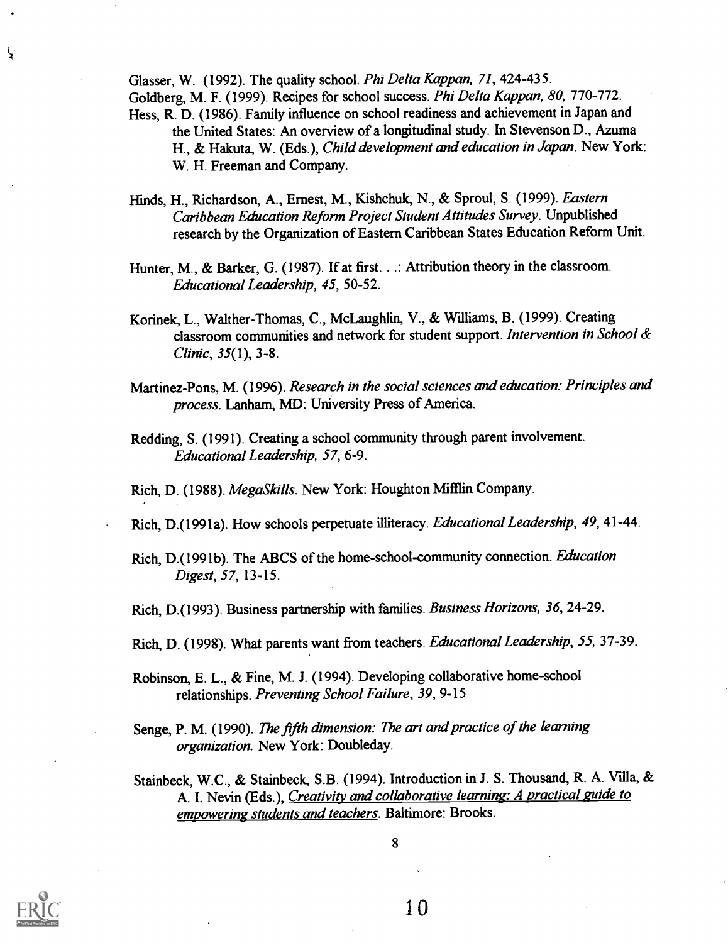Glasser, W. (1992). The quality school. Phi Delta Kappan, 71, 424-435. Goldberg, M. F. (1999). Recipes for school success. Phi Delta Kappan, 80, 770-772. Hess, R. D. (1986). Family influence on school readiness and achievement in Japan and the United States: An overview of a longitudinal study. In Stevenson D., Azuma H., & Hakuta, W. (Eds.), Child development and education in Japan. New York:

- Hinds, H., Richardson, A., Ernest, M., Kishchuk, N., & Sproul, S. (1999). Eastern Caribbean Education Reform Project Student Attitudes Survey. Unpublished research by the Organization of Eastern Caribbean States Education Reform Unit.
- Hunter, M., & Barker, G. (1987). If at first. . .: Attribution theory in the classroom. Educational Leadership, 45, 50-52.
- Korinek, L., Walther-Thomas, C., McLaughlin, V., & Williams, B. (1999). Creating classroom communities and network for student support. Intervention in School & Clinic, 35(1), 3-8.
- Martinez-Pons, M. (1996). Research in the social sciences and education: Principles and process. Lanham, MD: University Press of America.
- Redding, S. (1991). Creating a school community through parent involvement. Educational Leadership, 57, 6-9.

Rich, D. (1988). MegaSkills. New York: Houghton Mifflin Company.

- Rich, D.(1991a). How schools perpetuate illiteracy. Educational Leadership, 49, 41-44.
- Rich, D.(1991b). The ABCS of the home-school-community connection. Education Digest, 57, 13-15.
- Rich, D.(1993). Business partnership with families. Business Horizons, 36, 24-29.
- Rich, D. (1998). What parents want from teachers. Educational Leadership, 55, 37-39.
- Robinson, E. L., & Fine, M. J. (1994). Developing collaborative home-school relationships. Preventing School Failure, 39, 9-15
- Senge, P. M. (1990). The fifth dimension: The art and practice of the learning organization. New York: Doubleday.
- Stainbeck, W.C., & Stainbeck, S.B. (1994). Introduction in J. S. Thousand, R. A. Villa, & A. I. Nevin (Eds.), *Creativity and collaborative learning: A practical guide to* empowering students and teachers. Baltimore: Brooks.



Ŋ

W. H. Freeman and Company.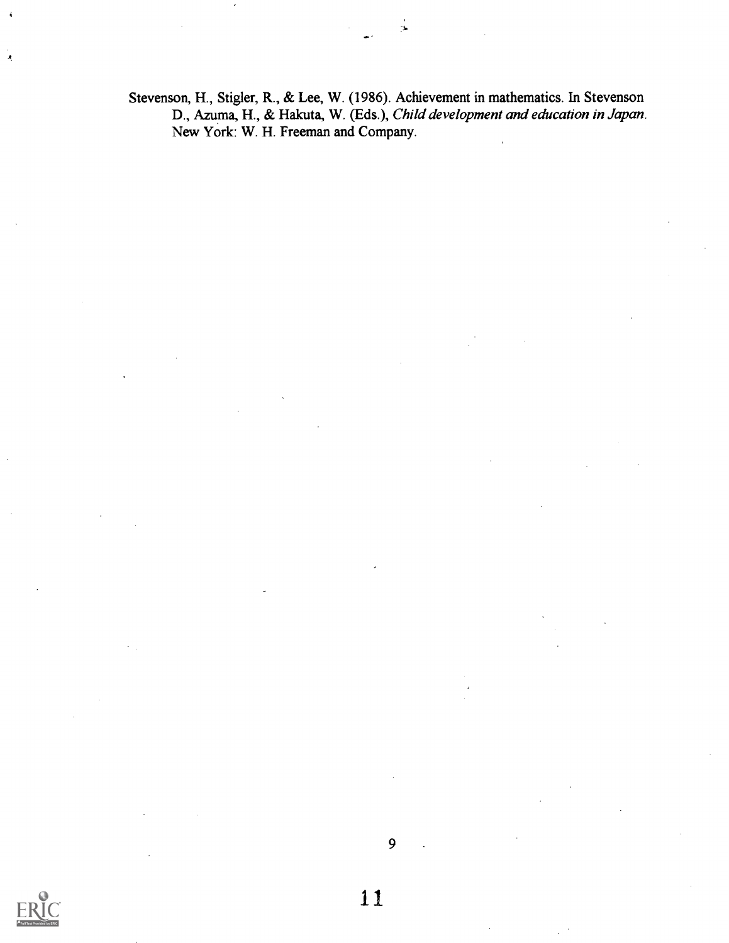Stevenson, H., Stigler, R., & Lee, W. (1986). Achievement in mathematics. In Stevenson D., Azuma, H., & Hakuta, W. (Eds.), Child development and education in Japan. New York: W. H. Freeman and Company.

 $\pmb{\mathcal{R}}$ 

9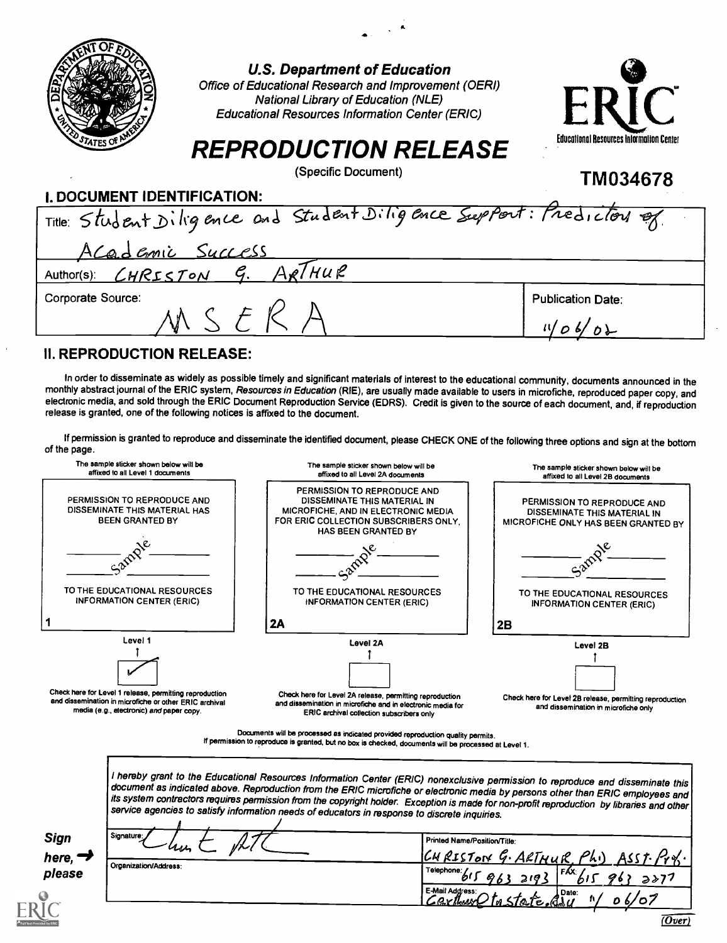|                                  | <b>U.S. Department of Education</b><br>Office of Educational Research and Improvement (OERI)<br><b>National Library of Education (NLE)</b><br><b>Educational Resources Information Center (ERIC)</b><br><b>REPRODUCTION RELEASE</b><br>(Specific Document)                                                      | ERIC<br>Educational Resources Information Center |
|----------------------------------|-----------------------------------------------------------------------------------------------------------------------------------------------------------------------------------------------------------------------------------------------------------------------------------------------------------------|--------------------------------------------------|
|                                  |                                                                                                                                                                                                                                                                                                                 | TM034678                                         |
| I. DOCUMENT IDENTIFICATION:      |                                                                                                                                                                                                                                                                                                                 |                                                  |
|                                  | Title: Student Diligence and Student Diligence Support: Predictors                                                                                                                                                                                                                                              |                                                  |
| Academic Success                 |                                                                                                                                                                                                                                                                                                                 |                                                  |
| Author(s): CHRISTON              | 7ни Р                                                                                                                                                                                                                                                                                                           |                                                  |
| Corporate Source:                |                                                                                                                                                                                                                                                                                                                 | <b>Publication Date:</b>                         |
|                                  | SFR                                                                                                                                                                                                                                                                                                             |                                                  |
| <b>II. REPRODUCTION RELEASE:</b> |                                                                                                                                                                                                                                                                                                                 |                                                  |
|                                  | In order to disseminate as widely as possible timely and significant materials of interest to the educational community, documents announced in the<br>monthly abstract journal of the ERIC system, Resources in Education (RIE), are usually made available to users in microfiche, reproduced paper copy, and |                                                  |

electronic media, and sold through the ERIC Document Reproduction Service (EDRS). Credit is given to the source of each document, and, if reproduction release is granted, one of the following notices is affixed to the document.

If permission is granted to reproduce and disseminate the identified document, please CHECK ONE of the following three options and sign at the bottom of the page.

| PERMISSION TO REPRODUCE AND                                                                                                                                                                                                                                                                                   | PERMISSION TO REPRODUCE AND                                                                                                                                          |                                                                                                                                         |  |  |  |  |
|---------------------------------------------------------------------------------------------------------------------------------------------------------------------------------------------------------------------------------------------------------------------------------------------------------------|----------------------------------------------------------------------------------------------------------------------------------------------------------------------|-----------------------------------------------------------------------------------------------------------------------------------------|--|--|--|--|
| DISSEMINATE THIS MATERIAL HAS<br><b>BEEN GRANTED BY</b>                                                                                                                                                                                                                                                       | DISSEMINATE THIS MATERIAL IN<br>MICROFICHE, AND IN ELECTRONIC MEDIA<br>FOR ERIC COLLECTION SUBSCRIBERS ONLY.<br><b>HAS BEEN GRANTED BY</b>                           | affixed to all Level 2B documents<br>PERMISSION TO REPRODUCE AND<br>DISSEMINATE THIS MATERIAL IN<br>MICROFICHE ONLY HAS BEEN GRANTED BY |  |  |  |  |
|                                                                                                                                                                                                                                                                                                               |                                                                                                                                                                      |                                                                                                                                         |  |  |  |  |
| TO THE EDUCATIONAL RESOURCES<br>INFORMATION CENTER (ERIC)                                                                                                                                                                                                                                                     | TO THE EDUCATIONAL RESOURCES<br>INFORMATION CENTER (ERIC)                                                                                                            | TO THE EDUCATIONAL RESOURCES<br><b>INFORMATION CENTER (ERIC)</b>                                                                        |  |  |  |  |
|                                                                                                                                                                                                                                                                                                               | 2A                                                                                                                                                                   | 2B                                                                                                                                      |  |  |  |  |
| Level 1                                                                                                                                                                                                                                                                                                       | Level 2A                                                                                                                                                             | Level 2B                                                                                                                                |  |  |  |  |
| media (e.g., electronic) and paper copy.                                                                                                                                                                                                                                                                      | Check here for Level 2A release, permitting reproduction<br>and dissemination in microfiche and in electronic media for<br>ERIC archival collection subscribers only | Check here for Level 2B release, permitting reproduction<br>and dissemination in microfiche only                                        |  |  |  |  |
|                                                                                                                                                                                                                                                                                                               |                                                                                                                                                                      |                                                                                                                                         |  |  |  |  |
| Check here for Level 1 release, permitting reproduction<br>and dissemination in microfiche or other ERIC archival<br>Documents will be processed as indicated provided reproduction quality permits.<br>If permission to reproduce is granted, but no box is checked, documents will be processed at Level 1. |                                                                                                                                                                      |                                                                                                                                         |  |  |  |  |

service agencies to satisfy information needs of educators in response to discrete inquiries.

Sign Signature Printed Name/Position/Title: here,  $\rightarrow$  $4$ RISTON G. ARTHUR, Phi) ASST. Pro. <u>CHRISTON G. ARTHUR, Ph.)</u> ASST. Pr.4.<br>Telephone: 615 963 2193 F<sup>RX</sup>615 963 2277 Organization/Address: please Telephone 615 963 2193 FRX 61<br>E-Mail Address: 0 to State , Quie: 67/ ٥٤